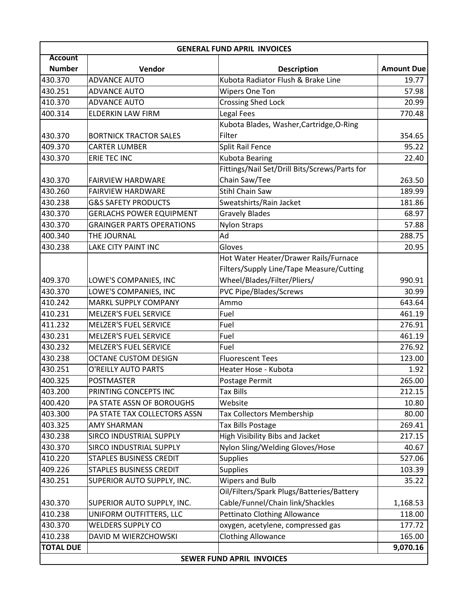| <b>GENERAL FUND APRIL INVOICES</b> |                                  |                                               |                   |  |  |  |
|------------------------------------|----------------------------------|-----------------------------------------------|-------------------|--|--|--|
| <b>Account</b>                     |                                  |                                               |                   |  |  |  |
| <b>Number</b>                      | Vendor                           | <b>Description</b>                            | <b>Amount Due</b> |  |  |  |
| 430.370                            | <b>ADVANCE AUTO</b>              | Kubota Radiator Flush & Brake Line            | 19.77             |  |  |  |
| 430.251                            | <b>ADVANCE AUTO</b>              | Wipers One Ton                                | 57.98             |  |  |  |
| 410.370                            | <b>ADVANCE AUTO</b>              | <b>Crossing Shed Lock</b>                     | 20.99             |  |  |  |
| 400.314                            | <b>ELDERKIN LAW FIRM</b>         | Legal Fees                                    | 770.48            |  |  |  |
|                                    |                                  | Kubota Blades, Washer, Cartridge, O-Ring      |                   |  |  |  |
| 430.370                            | <b>BORTNICK TRACTOR SALES</b>    | Filter                                        | 354.65            |  |  |  |
| 409.370                            | <b>CARTER LUMBER</b>             | 95.22<br>Split Rail Fence                     |                   |  |  |  |
| 430.370                            | <b>ERIE TEC INC</b>              | <b>Kubota Bearing</b>                         | 22.40             |  |  |  |
|                                    |                                  | Fittings/Nail Set/Drill Bits/Screws/Parts for |                   |  |  |  |
| 430.370                            | <b>FAIRVIEW HARDWARE</b>         | Chain Saw/Tee                                 | 263.50            |  |  |  |
| 430.260                            | <b>FAIRVIEW HARDWARE</b>         | <b>Stihl Chain Saw</b>                        | 189.99            |  |  |  |
| 430.238                            | <b>G&amp;S SAFETY PRODUCTS</b>   | Sweatshirts/Rain Jacket                       | 181.86            |  |  |  |
| 430.370                            | <b>GERLACHS POWER EQUIPMENT</b>  | <b>Gravely Blades</b>                         | 68.97             |  |  |  |
| 430.370                            | <b>GRAINGER PARTS OPERATIONS</b> | <b>Nylon Straps</b>                           | 57.88             |  |  |  |
| 400.340                            | THE JOURNAL                      | Ad                                            | 288.75            |  |  |  |
| 430.238                            | LAKE CITY PAINT INC              | Gloves                                        | 20.95             |  |  |  |
|                                    |                                  | Hot Water Heater/Drawer Rails/Furnace         |                   |  |  |  |
|                                    |                                  | Filters/Supply Line/Tape Measure/Cutting      |                   |  |  |  |
| 409.370                            | LOWE'S COMPANIES, INC            | Wheel/Blades/Filter/Pliers/                   | 990.91            |  |  |  |
| 430.370                            | LOWE'S COMPANIES, INC            | <b>PVC Pipe/Blades/Screws</b>                 | 30.99             |  |  |  |
| 410.242                            | MARKL SUPPLY COMPANY             | Ammo                                          | 643.64            |  |  |  |
| 410.231                            | <b>MELZER'S FUEL SERVICE</b>     | Fuel                                          | 461.19            |  |  |  |
| 411.232                            | <b>MELZER'S FUEL SERVICE</b>     | Fuel                                          | 276.91            |  |  |  |
| 430.231                            | <b>MELZER'S FUEL SERVICE</b>     | Fuel                                          | 461.19            |  |  |  |
| 430.232                            | <b>MELZER'S FUEL SERVICE</b>     | Fuel                                          | 276.92            |  |  |  |
| 430.238                            | <b>OCTANE CUSTOM DESIGN</b>      | <b>Fluorescent Tees</b>                       | 123.00            |  |  |  |
| 430.251                            | O'REILLY AUTO PARTS              | Heater Hose - Kubota                          | 1.92              |  |  |  |
| 400.325                            | <b>POSTMASTER</b>                | Postage Permit                                | 265.00            |  |  |  |
| 403.200                            | PRINTING CONCEPTS INC            | <b>Tax Bills</b>                              | 212.15            |  |  |  |
| 400.420                            | PA STATE ASSN OF BOROUGHS        | Website                                       | 10.80             |  |  |  |
| 403.300                            | PA STATE TAX COLLECTORS ASSN     | Tax Collectors Membership                     | 80.00             |  |  |  |
| 403.325                            | <b>AMY SHARMAN</b>               | Tax Bills Postage                             | 269.41            |  |  |  |
| 430.238                            | SIRCO INDUSTRIAL SUPPLY          | High Visibility Bibs and Jacket               | 217.15            |  |  |  |
| 430.370                            | SIRCO INDUSTRIAL SUPPLY          | Nylon Sling/Welding Gloves/Hose               | 40.67             |  |  |  |
| 410.220                            | <b>STAPLES BUSINESS CREDIT</b>   | <b>Supplies</b>                               | 527.06            |  |  |  |
| 409.226                            | <b>STAPLES BUSINESS CREDIT</b>   | <b>Supplies</b>                               | 103.39            |  |  |  |
| 430.251                            | SUPERIOR AUTO SUPPLY, INC.       | Wipers and Bulb                               | 35.22             |  |  |  |
|                                    |                                  | Oil/Filters/Spark Plugs/Batteries/Battery     |                   |  |  |  |
| 430.370                            | SUPERIOR AUTO SUPPLY, INC.       | Cable/Funnel/Chain link/Shackles              | 1,168.53          |  |  |  |
| 410.238                            | UNIFORM OUTFITTERS, LLC          | Pettinato Clothing Allowance                  | 118.00            |  |  |  |
| 430.370                            | <b>WELDERS SUPPLY CO</b>         | oxygen, acetylene, compressed gas             | 177.72            |  |  |  |
| 410.238                            | DAVID M WIERZCHOWSKI             | <b>Clothing Allowance</b>                     | 165.00            |  |  |  |
| <b>TOTAL DUE</b>                   |                                  |                                               | 9,070.16          |  |  |  |
|                                    | <b>SEWER FUND APRIL INVOICES</b> |                                               |                   |  |  |  |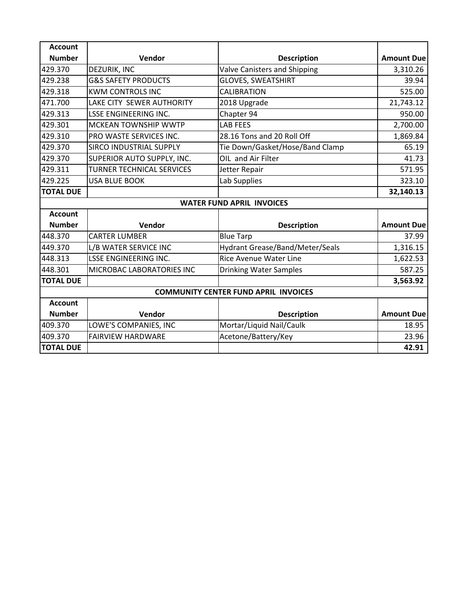| <b>Account</b>                              |                                  |                                        |                   |  |
|---------------------------------------------|----------------------------------|----------------------------------------|-------------------|--|
| <b>Number</b>                               | Vendor                           | <b>Description</b>                     | <b>Amount Due</b> |  |
| 429.370                                     | DEZURIK, INC                     | Valve Canisters and Shipping           | 3,310.26          |  |
| 429.238                                     | <b>G&amp;S SAFETY PRODUCTS</b>   | <b>GLOVES, SWEATSHIRT</b>              | 39.94             |  |
| 429.318                                     | <b>KWM CONTROLS INC</b>          | <b>CALIBRATION</b>                     | 525.00            |  |
| 471.700                                     | LAKE CITY SEWER AUTHORITY        | 2018 Upgrade                           | 21,743.12         |  |
| 429.313                                     | <b>LSSE ENGINEERING INC.</b>     | Chapter 94                             | 950.00            |  |
| 429.301                                     | <b>MCKEAN TOWNSHIP WWTP</b>      | <b>LAB FEES</b>                        | 2,700.00          |  |
| 429.310                                     | PRO WASTE SERVICES INC.          | 28.16 Tons and 20 Roll Off             | 1,869.84          |  |
| 429.370                                     | SIRCO INDUSTRIAL SUPPLY          | Tie Down/Gasket/Hose/Band Clamp        | 65.19             |  |
| 429.370                                     | SUPERIOR AUTO SUPPLY, INC.       | OIL and Air Filter                     | 41.73             |  |
| 429.311                                     | <b>TURNER TECHNICAL SERVICES</b> | Jetter Repair                          | 571.95            |  |
| 429.225                                     | <b>USA BLUE BOOK</b>             | Lab Supplies                           | 323.10            |  |
| <b>TOTAL DUE</b>                            |                                  |                                        | 32,140.13         |  |
| <b>WATER FUND APRIL INVOICES</b>            |                                  |                                        |                   |  |
| <b>Account</b>                              |                                  |                                        |                   |  |
| <b>Number</b>                               | Vendor                           | <b>Description</b>                     | <b>Amount Due</b> |  |
| 448.370                                     | <b>CARTER LUMBER</b>             | <b>Blue Tarp</b>                       | 37.99             |  |
| 449.370                                     | L/B WATER SERVICE INC            | <b>Hydrant Grease/Band/Meter/Seals</b> | 1,316.15          |  |
| 448.313                                     | <b>LSSE ENGINEERING INC.</b>     | <b>Rice Avenue Water Line</b>          | 1,622.53          |  |
| 448.301                                     | MICROBAC LABORATORIES INC        | <b>Drinking Water Samples</b>          | 587.25            |  |
| <b>TOTAL DUE</b>                            |                                  |                                        | 3,563.92          |  |
| <b>COMMUNITY CENTER FUND APRIL INVOICES</b> |                                  |                                        |                   |  |
| <b>Account</b>                              |                                  |                                        |                   |  |
| <b>Number</b>                               | Vendor                           | <b>Description</b>                     | <b>Amount Due</b> |  |
| 409.370                                     | LOWE'S COMPANIES, INC            | Mortar/Liquid Nail/Caulk               | 18.95             |  |
| 409.370                                     | <b>FAIRVIEW HARDWARE</b>         | Acetone/Battery/Key                    | 23.96             |  |
| <b>TOTAL DUE</b>                            |                                  |                                        | 42.91             |  |